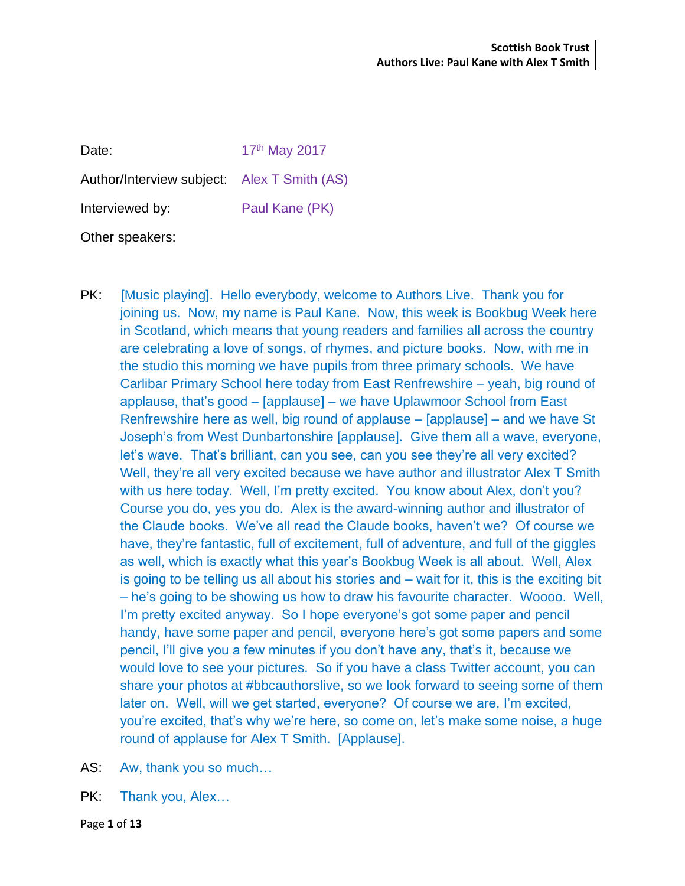| Date:                                       | 17th May 2017  |
|---------------------------------------------|----------------|
| Author/Interview subject: Alex T Smith (AS) |                |
| Interviewed by:                             | Paul Kane (PK) |
| Other speakers:                             |                |

- PK: [Music playing]. Hello everybody, welcome to Authors Live. Thank you for joining us. Now, my name is Paul Kane. Now, this week is Bookbug Week here in Scotland, which means that young readers and families all across the country are celebrating a love of songs, of rhymes, and picture books. Now, with me in the studio this morning we have pupils from three primary schools. We have Carlibar Primary School here today from East Renfrewshire – yeah, big round of applause, that's good – [applause] – we have Uplawmoor School from East Renfrewshire here as well, big round of applause – [applause] – and we have St Joseph's from West Dunbartonshire [applause]. Give them all a wave, everyone, let's wave. That's brilliant, can you see, can you see they're all very excited? Well, they're all very excited because we have author and illustrator Alex T Smith with us here today. Well, I'm pretty excited. You know about Alex, don't you? Course you do, yes you do. Alex is the award-winning author and illustrator of the Claude books. We've all read the Claude books, haven't we? Of course we have, they're fantastic, full of excitement, full of adventure, and full of the giggles as well, which is exactly what this year's Bookbug Week is all about. Well, Alex is going to be telling us all about his stories and – wait for it, this is the exciting bit – he's going to be showing us how to draw his favourite character. Woooo. Well, I'm pretty excited anyway. So I hope everyone's got some paper and pencil handy, have some paper and pencil, everyone here's got some papers and some pencil, I'll give you a few minutes if you don't have any, that's it, because we would love to see your pictures. So if you have a class Twitter account, you can share your photos at #bbcauthorslive, so we look forward to seeing some of them later on. Well, will we get started, everyone? Of course we are, I'm excited, you're excited, that's why we're here, so come on, let's make some noise, a huge round of applause for Alex T Smith. [Applause].
- AS: Aw, thank you so much…
- PK: Thank you, Alex...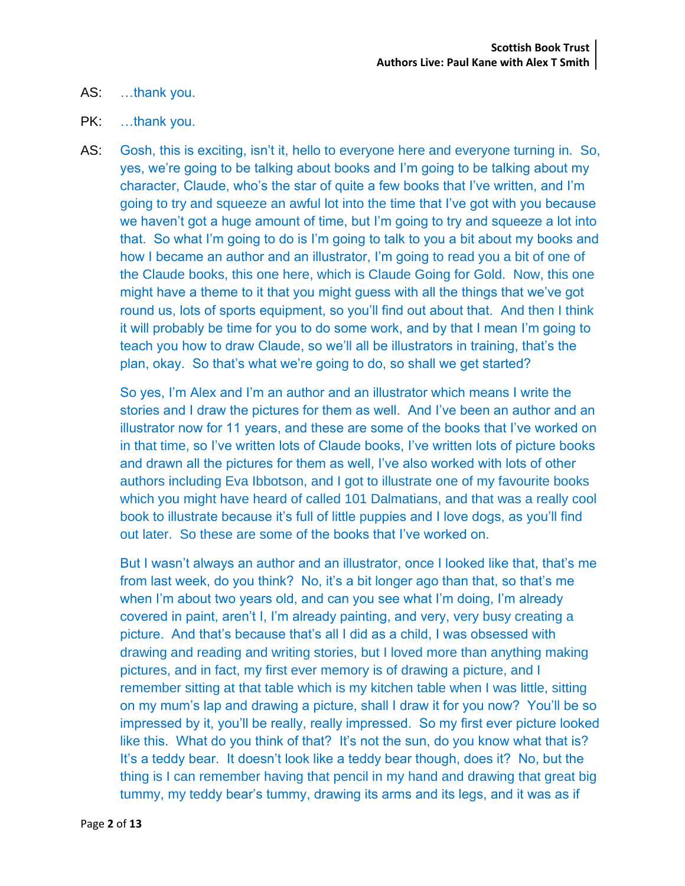## AS: …thank you.

### PK: ...thank you.

AS: Gosh, this is exciting, isn't it, hello to everyone here and everyone turning in. So, yes, we're going to be talking about books and I'm going to be talking about my character, Claude, who's the star of quite a few books that I've written, and I'm going to try and squeeze an awful lot into the time that I've got with you because we haven't got a huge amount of time, but I'm going to try and squeeze a lot into that. So what I'm going to do is I'm going to talk to you a bit about my books and how I became an author and an illustrator, I'm going to read you a bit of one of the Claude books, this one here, which is Claude Going for Gold. Now, this one might have a theme to it that you might guess with all the things that we've got round us, lots of sports equipment, so you'll find out about that. And then I think it will probably be time for you to do some work, and by that I mean I'm going to teach you how to draw Claude, so we'll all be illustrators in training, that's the plan, okay. So that's what we're going to do, so shall we get started?

So yes, I'm Alex and I'm an author and an illustrator which means I write the stories and I draw the pictures for them as well. And I've been an author and an illustrator now for 11 years, and these are some of the books that I've worked on in that time, so I've written lots of Claude books, I've written lots of picture books and drawn all the pictures for them as well, I've also worked with lots of other authors including Eva Ibbotson, and I got to illustrate one of my favourite books which you might have heard of called 101 Dalmatians, and that was a really cool book to illustrate because it's full of little puppies and I love dogs, as you'll find out later. So these are some of the books that I've worked on.

But I wasn't always an author and an illustrator, once I looked like that, that's me from last week, do you think? No, it's a bit longer ago than that, so that's me when I'm about two years old, and can you see what I'm doing, I'm already covered in paint, aren't I, I'm already painting, and very, very busy creating a picture. And that's because that's all I did as a child, I was obsessed with drawing and reading and writing stories, but I loved more than anything making pictures, and in fact, my first ever memory is of drawing a picture, and I remember sitting at that table which is my kitchen table when I was little, sitting on my mum's lap and drawing a picture, shall I draw it for you now? You'll be so impressed by it, you'll be really, really impressed. So my first ever picture looked like this. What do you think of that? It's not the sun, do you know what that is? It's a teddy bear. It doesn't look like a teddy bear though, does it? No, but the thing is I can remember having that pencil in my hand and drawing that great big tummy, my teddy bear's tummy, drawing its arms and its legs, and it was as if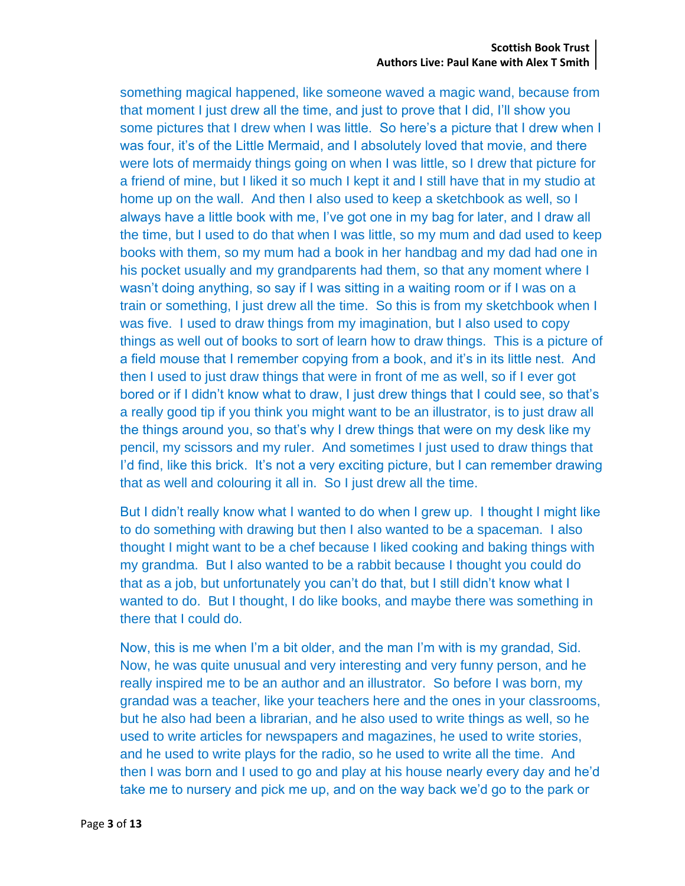#### **Scottish Book Trust Authors Live: Paul Kane with Alex T Smith**

something magical happened, like someone waved a magic wand, because from that moment I just drew all the time, and just to prove that I did, I'll show you some pictures that I drew when I was little. So here's a picture that I drew when I was four, it's of the Little Mermaid, and I absolutely loved that movie, and there were lots of mermaidy things going on when I was little, so I drew that picture for a friend of mine, but I liked it so much I kept it and I still have that in my studio at home up on the wall. And then I also used to keep a sketchbook as well, so I always have a little book with me, I've got one in my bag for later, and I draw all the time, but I used to do that when I was little, so my mum and dad used to keep books with them, so my mum had a book in her handbag and my dad had one in his pocket usually and my grandparents had them, so that any moment where I wasn't doing anything, so say if I was sitting in a waiting room or if I was on a train or something, I just drew all the time. So this is from my sketchbook when I was five. I used to draw things from my imagination, but I also used to copy things as well out of books to sort of learn how to draw things. This is a picture of a field mouse that I remember copying from a book, and it's in its little nest. And then I used to just draw things that were in front of me as well, so if I ever got bored or if I didn't know what to draw, I just drew things that I could see, so that's a really good tip if you think you might want to be an illustrator, is to just draw all the things around you, so that's why I drew things that were on my desk like my pencil, my scissors and my ruler. And sometimes I just used to draw things that I'd find, like this brick. It's not a very exciting picture, but I can remember drawing that as well and colouring it all in. So I just drew all the time.

But I didn't really know what I wanted to do when I grew up. I thought I might like to do something with drawing but then I also wanted to be a spaceman. I also thought I might want to be a chef because I liked cooking and baking things with my grandma. But I also wanted to be a rabbit because I thought you could do that as a job, but unfortunately you can't do that, but I still didn't know what I wanted to do. But I thought, I do like books, and maybe there was something in there that I could do.

Now, this is me when I'm a bit older, and the man I'm with is my grandad, Sid. Now, he was quite unusual and very interesting and very funny person, and he really inspired me to be an author and an illustrator. So before I was born, my grandad was a teacher, like your teachers here and the ones in your classrooms, but he also had been a librarian, and he also used to write things as well, so he used to write articles for newspapers and magazines, he used to write stories, and he used to write plays for the radio, so he used to write all the time. And then I was born and I used to go and play at his house nearly every day and he'd take me to nursery and pick me up, and on the way back we'd go to the park or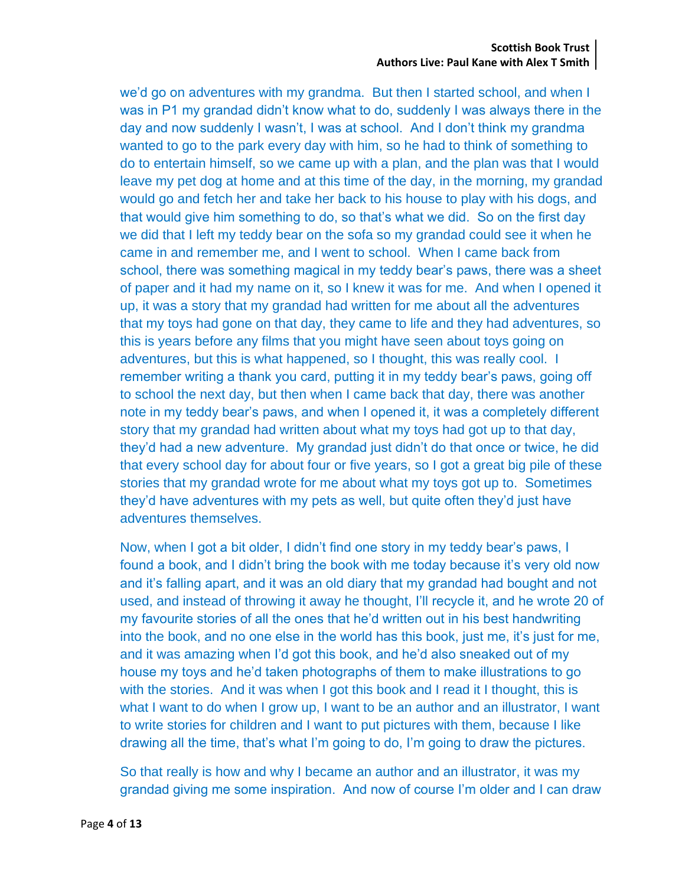#### **Scottish Book Trust Authors Live: Paul Kane with Alex T Smith**

we'd go on adventures with my grandma. But then I started school, and when I was in P1 my grandad didn't know what to do, suddenly I was always there in the day and now suddenly I wasn't, I was at school. And I don't think my grandma wanted to go to the park every day with him, so he had to think of something to do to entertain himself, so we came up with a plan, and the plan was that I would leave my pet dog at home and at this time of the day, in the morning, my grandad would go and fetch her and take her back to his house to play with his dogs, and that would give him something to do, so that's what we did. So on the first day we did that I left my teddy bear on the sofa so my grandad could see it when he came in and remember me, and I went to school. When I came back from school, there was something magical in my teddy bear's paws, there was a sheet of paper and it had my name on it, so I knew it was for me. And when I opened it up, it was a story that my grandad had written for me about all the adventures that my toys had gone on that day, they came to life and they had adventures, so this is years before any films that you might have seen about toys going on adventures, but this is what happened, so I thought, this was really cool. I remember writing a thank you card, putting it in my teddy bear's paws, going off to school the next day, but then when I came back that day, there was another note in my teddy bear's paws, and when I opened it, it was a completely different story that my grandad had written about what my toys had got up to that day, they'd had a new adventure. My grandad just didn't do that once or twice, he did that every school day for about four or five years, so I got a great big pile of these stories that my grandad wrote for me about what my toys got up to. Sometimes they'd have adventures with my pets as well, but quite often they'd just have adventures themselves.

Now, when I got a bit older, I didn't find one story in my teddy bear's paws, I found a book, and I didn't bring the book with me today because it's very old now and it's falling apart, and it was an old diary that my grandad had bought and not used, and instead of throwing it away he thought, I'll recycle it, and he wrote 20 of my favourite stories of all the ones that he'd written out in his best handwriting into the book, and no one else in the world has this book, just me, it's just for me, and it was amazing when I'd got this book, and he'd also sneaked out of my house my toys and he'd taken photographs of them to make illustrations to go with the stories. And it was when I got this book and I read it I thought, this is what I want to do when I grow up, I want to be an author and an illustrator, I want to write stories for children and I want to put pictures with them, because I like drawing all the time, that's what I'm going to do, I'm going to draw the pictures.

So that really is how and why I became an author and an illustrator, it was my grandad giving me some inspiration. And now of course I'm older and I can draw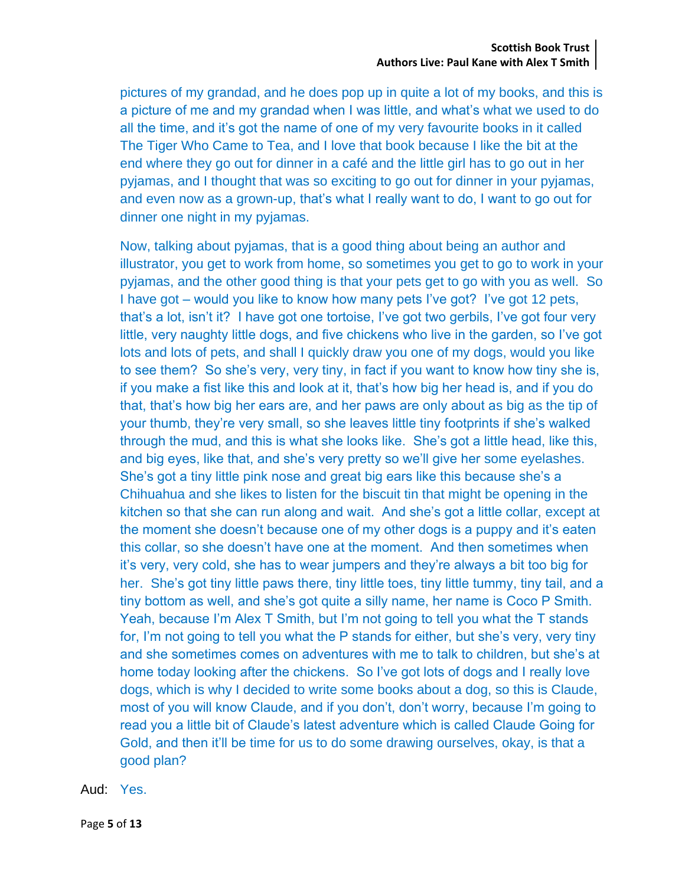pictures of my grandad, and he does pop up in quite a lot of my books, and this is a picture of me and my grandad when I was little, and what's what we used to do all the time, and it's got the name of one of my very favourite books in it called The Tiger Who Came to Tea, and I love that book because I like the bit at the end where they go out for dinner in a café and the little girl has to go out in her pyjamas, and I thought that was so exciting to go out for dinner in your pyjamas, and even now as a grown-up, that's what I really want to do, I want to go out for dinner one night in my pyjamas.

Now, talking about pyjamas, that is a good thing about being an author and illustrator, you get to work from home, so sometimes you get to go to work in your pyjamas, and the other good thing is that your pets get to go with you as well. So I have got – would you like to know how many pets I've got? I've got 12 pets, that's a lot, isn't it? I have got one tortoise, I've got two gerbils, I've got four very little, very naughty little dogs, and five chickens who live in the garden, so I've got lots and lots of pets, and shall I quickly draw you one of my dogs, would you like to see them? So she's very, very tiny, in fact if you want to know how tiny she is, if you make a fist like this and look at it, that's how big her head is, and if you do that, that's how big her ears are, and her paws are only about as big as the tip of your thumb, they're very small, so she leaves little tiny footprints if she's walked through the mud, and this is what she looks like. She's got a little head, like this, and big eyes, like that, and she's very pretty so we'll give her some eyelashes. She's got a tiny little pink nose and great big ears like this because she's a Chihuahua and she likes to listen for the biscuit tin that might be opening in the kitchen so that she can run along and wait. And she's got a little collar, except at the moment she doesn't because one of my other dogs is a puppy and it's eaten this collar, so she doesn't have one at the moment. And then sometimes when it's very, very cold, she has to wear jumpers and they're always a bit too big for her. She's got tiny little paws there, tiny little toes, tiny little tummy, tiny tail, and a tiny bottom as well, and she's got quite a silly name, her name is Coco P Smith. Yeah, because I'm Alex T Smith, but I'm not going to tell you what the T stands for, I'm not going to tell you what the P stands for either, but she's very, very tiny and she sometimes comes on adventures with me to talk to children, but she's at home today looking after the chickens. So I've got lots of dogs and I really love dogs, which is why I decided to write some books about a dog, so this is Claude, most of you will know Claude, and if you don't, don't worry, because I'm going to read you a little bit of Claude's latest adventure which is called Claude Going for Gold, and then it'll be time for us to do some drawing ourselves, okay, is that a good plan?

Aud: Yes.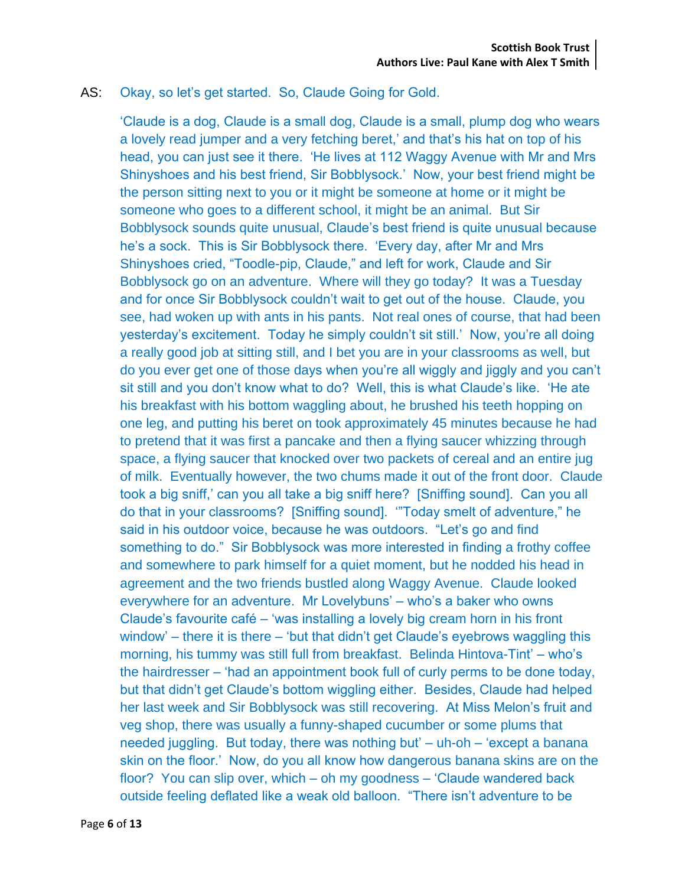# AS: Okay, so let's get started. So, Claude Going for Gold.

'Claude is a dog, Claude is a small dog, Claude is a small, plump dog who wears a lovely read jumper and a very fetching beret,' and that's his hat on top of his head, you can just see it there. 'He lives at 112 Waggy Avenue with Mr and Mrs Shinyshoes and his best friend, Sir Bobblysock.' Now, your best friend might be the person sitting next to you or it might be someone at home or it might be someone who goes to a different school, it might be an animal. But Sir Bobblysock sounds quite unusual, Claude's best friend is quite unusual because he's a sock. This is Sir Bobblysock there. 'Every day, after Mr and Mrs Shinyshoes cried, "Toodle-pip, Claude," and left for work, Claude and Sir Bobblysock go on an adventure. Where will they go today? It was a Tuesday and for once Sir Bobblysock couldn't wait to get out of the house. Claude, you see, had woken up with ants in his pants. Not real ones of course, that had been yesterday's excitement. Today he simply couldn't sit still.' Now, you're all doing a really good job at sitting still, and I bet you are in your classrooms as well, but do you ever get one of those days when you're all wiggly and jiggly and you can't sit still and you don't know what to do? Well, this is what Claude's like. 'He ate his breakfast with his bottom waggling about, he brushed his teeth hopping on one leg, and putting his beret on took approximately 45 minutes because he had to pretend that it was first a pancake and then a flying saucer whizzing through space, a flying saucer that knocked over two packets of cereal and an entire jug of milk. Eventually however, the two chums made it out of the front door. Claude took a big sniff,' can you all take a big sniff here? [Sniffing sound]. Can you all do that in your classrooms? [Sniffing sound]. '"Today smelt of adventure," he said in his outdoor voice, because he was outdoors. "Let's go and find something to do." Sir Bobblysock was more interested in finding a frothy coffee and somewhere to park himself for a quiet moment, but he nodded his head in agreement and the two friends bustled along Waggy Avenue. Claude looked everywhere for an adventure. Mr Lovelybuns' – who's a baker who owns Claude's favourite café – 'was installing a lovely big cream horn in his front window' – there it is there – 'but that didn't get Claude's eyebrows waggling this morning, his tummy was still full from breakfast. Belinda Hintova-Tint' – who's the hairdresser – 'had an appointment book full of curly perms to be done today, but that didn't get Claude's bottom wiggling either. Besides, Claude had helped her last week and Sir Bobblysock was still recovering. At Miss Melon's fruit and veg shop, there was usually a funny-shaped cucumber or some plums that needed juggling. But today, there was nothing but' – uh-oh – 'except a banana skin on the floor.' Now, do you all know how dangerous banana skins are on the floor? You can slip over, which – oh my goodness – 'Claude wandered back outside feeling deflated like a weak old balloon. "There isn't adventure to be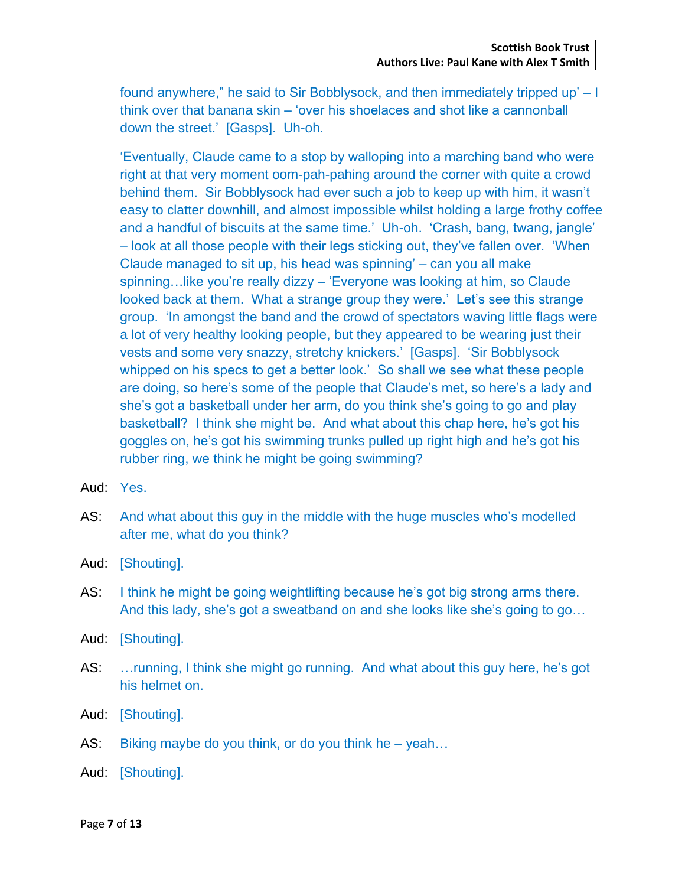found anywhere," he said to Sir Bobblysock, and then immediately tripped up' – I think over that banana skin – 'over his shoelaces and shot like a cannonball down the street.' [Gasps]. Uh-oh.

'Eventually, Claude came to a stop by walloping into a marching band who were right at that very moment oom-pah-pahing around the corner with quite a crowd behind them. Sir Bobblysock had ever such a job to keep up with him, it wasn't easy to clatter downhill, and almost impossible whilst holding a large frothy coffee and a handful of biscuits at the same time.' Uh-oh. 'Crash, bang, twang, jangle' – look at all those people with their legs sticking out, they've fallen over. 'When Claude managed to sit up, his head was spinning' – can you all make spinning…like you're really dizzy – 'Everyone was looking at him, so Claude looked back at them. What a strange group they were.' Let's see this strange group. 'In amongst the band and the crowd of spectators waving little flags were a lot of very healthy looking people, but they appeared to be wearing just their vests and some very snazzy, stretchy knickers.' [Gasps]. 'Sir Bobblysock whipped on his specs to get a better look.' So shall we see what these people are doing, so here's some of the people that Claude's met, so here's a lady and she's got a basketball under her arm, do you think she's going to go and play basketball? I think she might be. And what about this chap here, he's got his goggles on, he's got his swimming trunks pulled up right high and he's got his rubber ring, we think he might be going swimming?

- Aud: Yes.
- AS: And what about this guy in the middle with the huge muscles who's modelled after me, what do you think?
- Aud: [Shouting].
- AS: I think he might be going weightlifting because he's got big strong arms there. And this lady, she's got a sweatband on and she looks like she's going to go…
- Aud: [Shouting].
- AS: …running, I think she might go running. And what about this guy here, he's got his helmet on.
- Aud: [Shouting].
- AS: Biking maybe do you think, or do you think he yeah...
- Aud: [Shouting].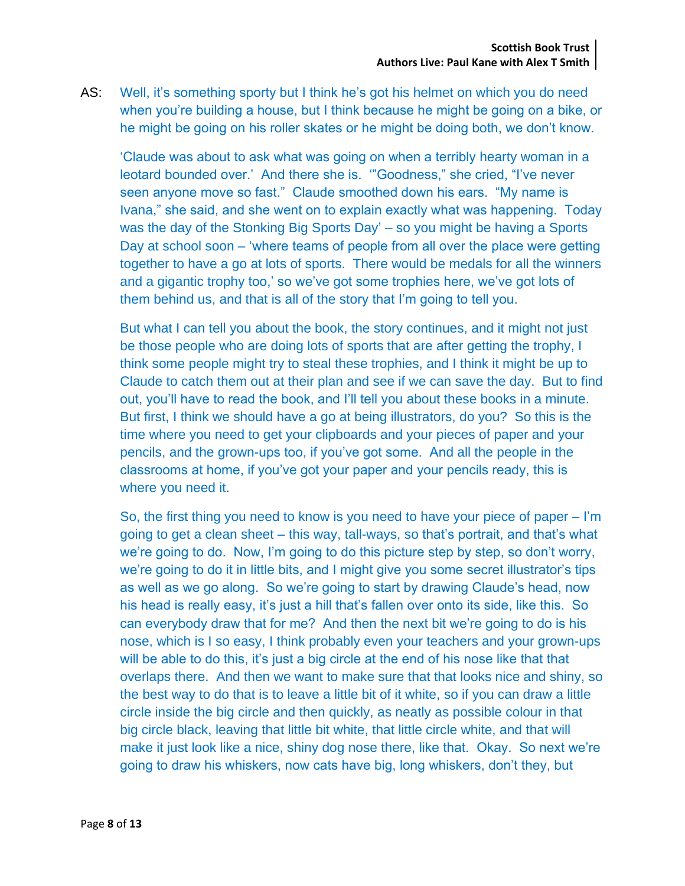AS: Well, it's something sporty but I think he's got his helmet on which you do need when you're building a house, but I think because he might be going on a bike, or he might be going on his roller skates or he might be doing both, we don't know.

'Claude was about to ask what was going on when a terribly hearty woman in a leotard bounded over.' And there she is. '"Goodness," she cried, "I've never seen anyone move so fast." Claude smoothed down his ears. "My name is Ivana," she said, and she went on to explain exactly what was happening. Today was the day of the Stonking Big Sports Day' – so you might be having a Sports Day at school soon – 'where teams of people from all over the place were getting together to have a go at lots of sports. There would be medals for all the winners and a gigantic trophy too,' so we've got some trophies here, we've got lots of them behind us, and that is all of the story that I'm going to tell you.

But what I can tell you about the book, the story continues, and it might not just be those people who are doing lots of sports that are after getting the trophy, I think some people might try to steal these trophies, and I think it might be up to Claude to catch them out at their plan and see if we can save the day. But to find out, you'll have to read the book, and I'll tell you about these books in a minute. But first, I think we should have a go at being illustrators, do you? So this is the time where you need to get your clipboards and your pieces of paper and your pencils, and the grown-ups too, if you've got some. And all the people in the classrooms at home, if you've got your paper and your pencils ready, this is where you need it.

So, the first thing you need to know is you need to have your piece of paper – I'm going to get a clean sheet – this way, tall-ways, so that's portrait, and that's what we're going to do. Now, I'm going to do this picture step by step, so don't worry, we're going to do it in little bits, and I might give you some secret illustrator's tips as well as we go along. So we're going to start by drawing Claude's head, now his head is really easy, it's just a hill that's fallen over onto its side, like this. So can everybody draw that for me? And then the next bit we're going to do is his nose, which is I so easy, I think probably even your teachers and your grown-ups will be able to do this, it's just a big circle at the end of his nose like that that overlaps there. And then we want to make sure that that looks nice and shiny, so the best way to do that is to leave a little bit of it white, so if you can draw a little circle inside the big circle and then quickly, as neatly as possible colour in that big circle black, leaving that little bit white, that little circle white, and that will make it just look like a nice, shiny dog nose there, like that. Okay. So next we're going to draw his whiskers, now cats have big, long whiskers, don't they, but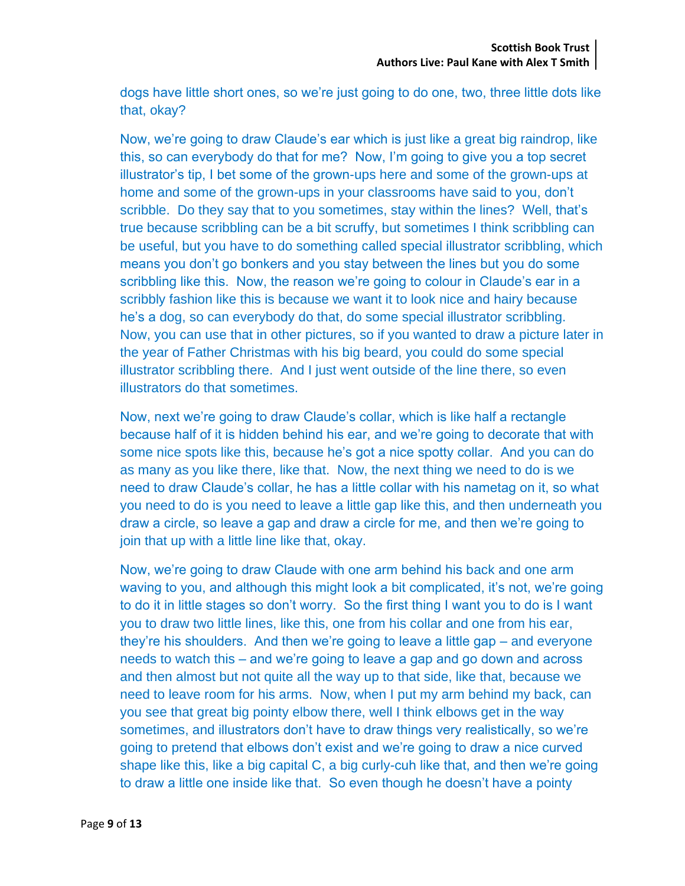dogs have little short ones, so we're just going to do one, two, three little dots like that, okay?

Now, we're going to draw Claude's ear which is just like a great big raindrop, like this, so can everybody do that for me? Now, I'm going to give you a top secret illustrator's tip, I bet some of the grown-ups here and some of the grown-ups at home and some of the grown-ups in your classrooms have said to you, don't scribble. Do they say that to you sometimes, stay within the lines? Well, that's true because scribbling can be a bit scruffy, but sometimes I think scribbling can be useful, but you have to do something called special illustrator scribbling, which means you don't go bonkers and you stay between the lines but you do some scribbling like this. Now, the reason we're going to colour in Claude's ear in a scribbly fashion like this is because we want it to look nice and hairy because he's a dog, so can everybody do that, do some special illustrator scribbling. Now, you can use that in other pictures, so if you wanted to draw a picture later in the year of Father Christmas with his big beard, you could do some special illustrator scribbling there. And I just went outside of the line there, so even illustrators do that sometimes.

Now, next we're going to draw Claude's collar, which is like half a rectangle because half of it is hidden behind his ear, and we're going to decorate that with some nice spots like this, because he's got a nice spotty collar. And you can do as many as you like there, like that. Now, the next thing we need to do is we need to draw Claude's collar, he has a little collar with his nametag on it, so what you need to do is you need to leave a little gap like this, and then underneath you draw a circle, so leave a gap and draw a circle for me, and then we're going to join that up with a little line like that, okay.

Now, we're going to draw Claude with one arm behind his back and one arm waving to you, and although this might look a bit complicated, it's not, we're going to do it in little stages so don't worry. So the first thing I want you to do is I want you to draw two little lines, like this, one from his collar and one from his ear, they're his shoulders. And then we're going to leave a little gap – and everyone needs to watch this – and we're going to leave a gap and go down and across and then almost but not quite all the way up to that side, like that, because we need to leave room for his arms. Now, when I put my arm behind my back, can you see that great big pointy elbow there, well I think elbows get in the way sometimes, and illustrators don't have to draw things very realistically, so we're going to pretend that elbows don't exist and we're going to draw a nice curved shape like this, like a big capital C, a big curly-cuh like that, and then we're going to draw a little one inside like that. So even though he doesn't have a pointy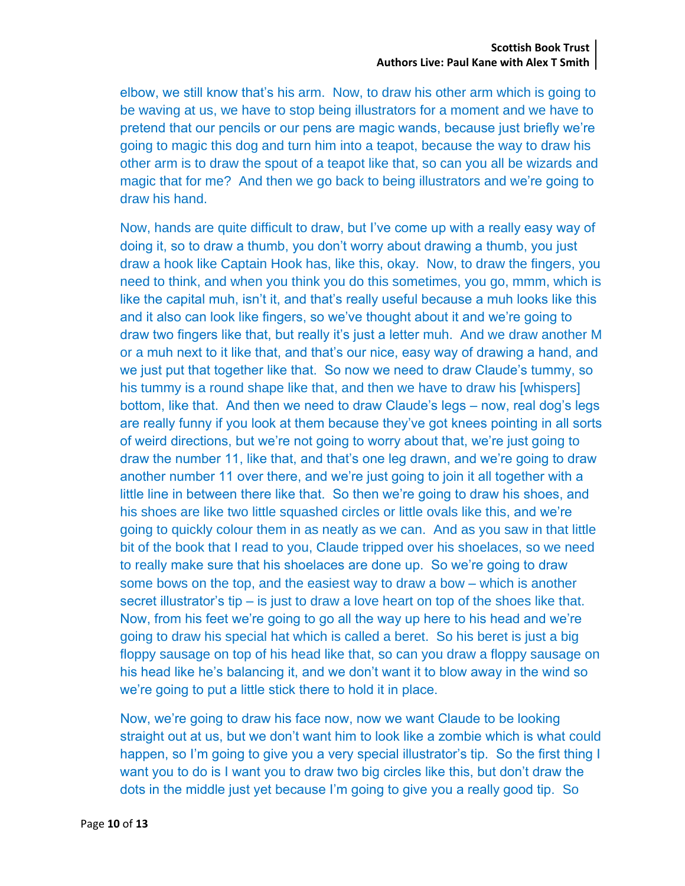elbow, we still know that's his arm. Now, to draw his other arm which is going to be waving at us, we have to stop being illustrators for a moment and we have to pretend that our pencils or our pens are magic wands, because just briefly we're going to magic this dog and turn him into a teapot, because the way to draw his other arm is to draw the spout of a teapot like that, so can you all be wizards and magic that for me? And then we go back to being illustrators and we're going to draw his hand.

Now, hands are quite difficult to draw, but I've come up with a really easy way of doing it, so to draw a thumb, you don't worry about drawing a thumb, you just draw a hook like Captain Hook has, like this, okay. Now, to draw the fingers, you need to think, and when you think you do this sometimes, you go, mmm, which is like the capital muh, isn't it, and that's really useful because a muh looks like this and it also can look like fingers, so we've thought about it and we're going to draw two fingers like that, but really it's just a letter muh. And we draw another M or a muh next to it like that, and that's our nice, easy way of drawing a hand, and we just put that together like that. So now we need to draw Claude's tummy, so his tummy is a round shape like that, and then we have to draw his [whispers] bottom, like that. And then we need to draw Claude's legs – now, real dog's legs are really funny if you look at them because they've got knees pointing in all sorts of weird directions, but we're not going to worry about that, we're just going to draw the number 11, like that, and that's one leg drawn, and we're going to draw another number 11 over there, and we're just going to join it all together with a little line in between there like that. So then we're going to draw his shoes, and his shoes are like two little squashed circles or little ovals like this, and we're going to quickly colour them in as neatly as we can. And as you saw in that little bit of the book that I read to you, Claude tripped over his shoelaces, so we need to really make sure that his shoelaces are done up. So we're going to draw some bows on the top, and the easiest way to draw a bow – which is another secret illustrator's tip – is just to draw a love heart on top of the shoes like that. Now, from his feet we're going to go all the way up here to his head and we're going to draw his special hat which is called a beret. So his beret is just a big floppy sausage on top of his head like that, so can you draw a floppy sausage on his head like he's balancing it, and we don't want it to blow away in the wind so we're going to put a little stick there to hold it in place.

Now, we're going to draw his face now, now we want Claude to be looking straight out at us, but we don't want him to look like a zombie which is what could happen, so I'm going to give you a very special illustrator's tip. So the first thing I want you to do is I want you to draw two big circles like this, but don't draw the dots in the middle just yet because I'm going to give you a really good tip. So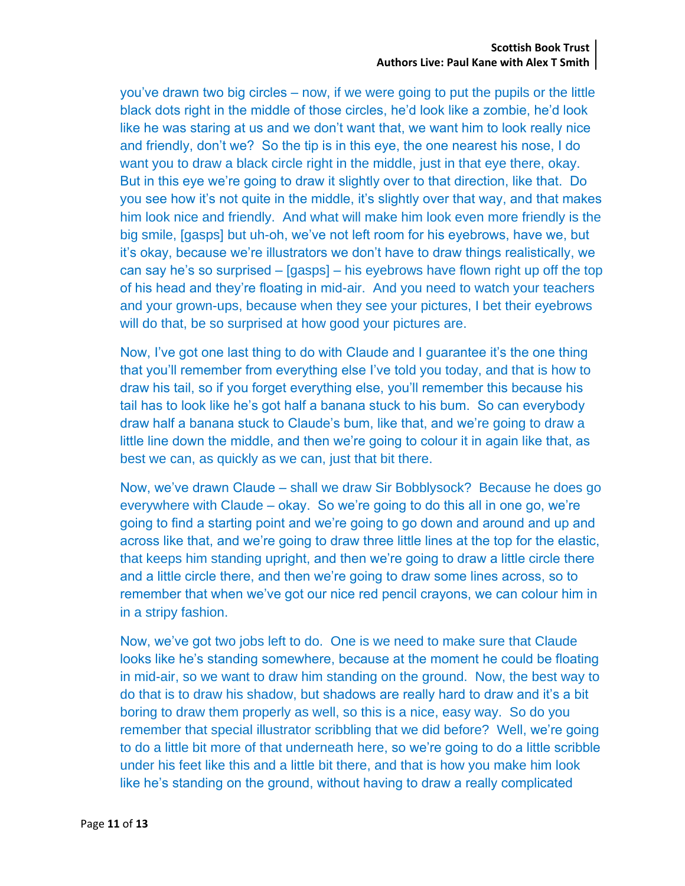you've drawn two big circles – now, if we were going to put the pupils or the little black dots right in the middle of those circles, he'd look like a zombie, he'd look like he was staring at us and we don't want that, we want him to look really nice and friendly, don't we? So the tip is in this eye, the one nearest his nose, I do want you to draw a black circle right in the middle, just in that eye there, okay. But in this eye we're going to draw it slightly over to that direction, like that. Do you see how it's not quite in the middle, it's slightly over that way, and that makes him look nice and friendly. And what will make him look even more friendly is the big smile, [gasps] but uh-oh, we've not left room for his eyebrows, have we, but it's okay, because we're illustrators we don't have to draw things realistically, we can say he's so surprised – [gasps] – his eyebrows have flown right up off the top of his head and they're floating in mid-air. And you need to watch your teachers and your grown-ups, because when they see your pictures, I bet their eyebrows will do that, be so surprised at how good your pictures are.

Now, I've got one last thing to do with Claude and I guarantee it's the one thing that you'll remember from everything else I've told you today, and that is how to draw his tail, so if you forget everything else, you'll remember this because his tail has to look like he's got half a banana stuck to his bum. So can everybody draw half a banana stuck to Claude's bum, like that, and we're going to draw a little line down the middle, and then we're going to colour it in again like that, as best we can, as quickly as we can, just that bit there.

Now, we've drawn Claude – shall we draw Sir Bobblysock? Because he does go everywhere with Claude – okay. So we're going to do this all in one go, we're going to find a starting point and we're going to go down and around and up and across like that, and we're going to draw three little lines at the top for the elastic, that keeps him standing upright, and then we're going to draw a little circle there and a little circle there, and then we're going to draw some lines across, so to remember that when we've got our nice red pencil crayons, we can colour him in in a stripy fashion.

Now, we've got two jobs left to do. One is we need to make sure that Claude looks like he's standing somewhere, because at the moment he could be floating in mid-air, so we want to draw him standing on the ground. Now, the best way to do that is to draw his shadow, but shadows are really hard to draw and it's a bit boring to draw them properly as well, so this is a nice, easy way. So do you remember that special illustrator scribbling that we did before? Well, we're going to do a little bit more of that underneath here, so we're going to do a little scribble under his feet like this and a little bit there, and that is how you make him look like he's standing on the ground, without having to draw a really complicated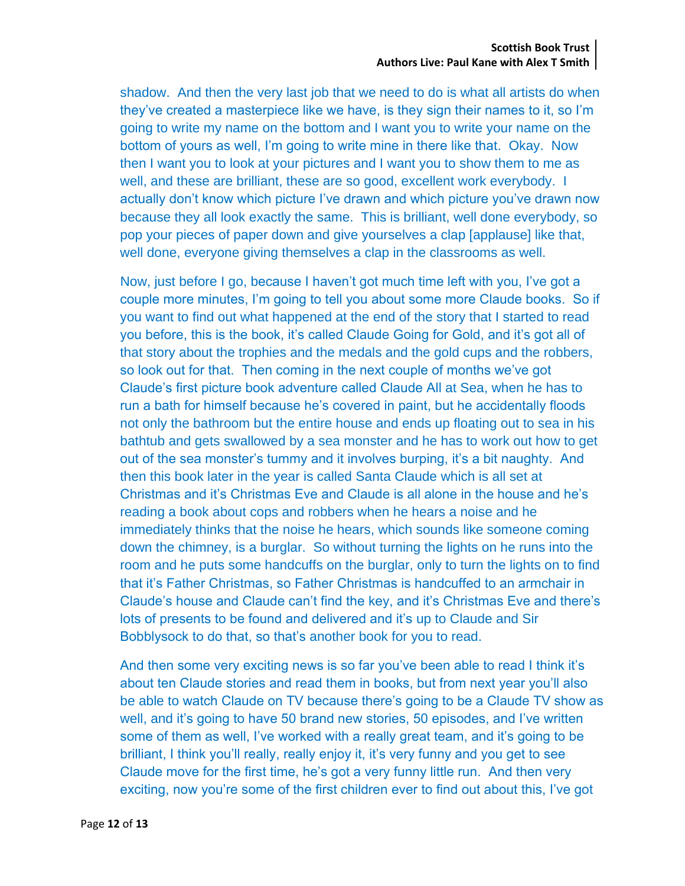shadow. And then the very last job that we need to do is what all artists do when they've created a masterpiece like we have, is they sign their names to it, so I'm going to write my name on the bottom and I want you to write your name on the bottom of yours as well, I'm going to write mine in there like that. Okay. Now then I want you to look at your pictures and I want you to show them to me as well, and these are brilliant, these are so good, excellent work everybody. I actually don't know which picture I've drawn and which picture you've drawn now because they all look exactly the same. This is brilliant, well done everybody, so pop your pieces of paper down and give yourselves a clap [applause] like that, well done, everyone giving themselves a clap in the classrooms as well.

Now, just before I go, because I haven't got much time left with you, I've got a couple more minutes, I'm going to tell you about some more Claude books. So if you want to find out what happened at the end of the story that I started to read you before, this is the book, it's called Claude Going for Gold, and it's got all of that story about the trophies and the medals and the gold cups and the robbers, so look out for that. Then coming in the next couple of months we've got Claude's first picture book adventure called Claude All at Sea, when he has to run a bath for himself because he's covered in paint, but he accidentally floods not only the bathroom but the entire house and ends up floating out to sea in his bathtub and gets swallowed by a sea monster and he has to work out how to get out of the sea monster's tummy and it involves burping, it's a bit naughty. And then this book later in the year is called Santa Claude which is all set at Christmas and it's Christmas Eve and Claude is all alone in the house and he's reading a book about cops and robbers when he hears a noise and he immediately thinks that the noise he hears, which sounds like someone coming down the chimney, is a burglar. So without turning the lights on he runs into the room and he puts some handcuffs on the burglar, only to turn the lights on to find that it's Father Christmas, so Father Christmas is handcuffed to an armchair in Claude's house and Claude can't find the key, and it's Christmas Eve and there's lots of presents to be found and delivered and it's up to Claude and Sir Bobblysock to do that, so that's another book for you to read.

And then some very exciting news is so far you've been able to read I think it's about ten Claude stories and read them in books, but from next year you'll also be able to watch Claude on TV because there's going to be a Claude TV show as well, and it's going to have 50 brand new stories, 50 episodes, and I've written some of them as well, I've worked with a really great team, and it's going to be brilliant, I think you'll really, really enjoy it, it's very funny and you get to see Claude move for the first time, he's got a very funny little run. And then very exciting, now you're some of the first children ever to find out about this, I've got